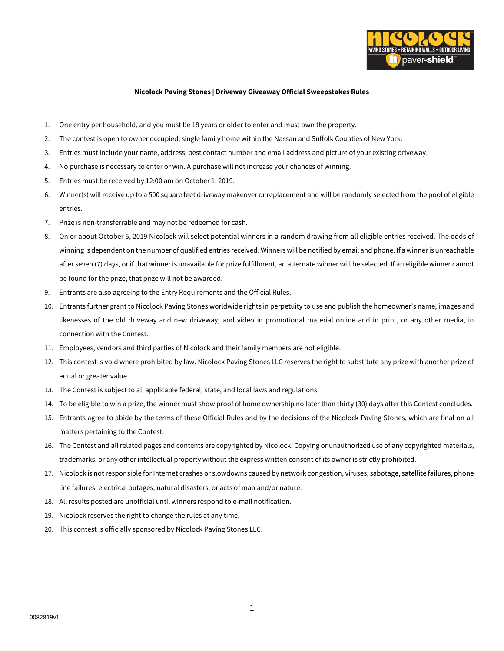

## **Nicolock Paving Stones | Driveway Giveaway Official Sweepstakes Rules**

- 1. One entry per household, and you must be 18 years or older to enter and must own the property.
- 2. The contest is open to owner occupied, single family home within the Nassau and Suffolk Counties of New York.
- 3. Entries must include your name, address, best contact number and email address and picture of your existing driveway.
- 4. No purchase is necessary to enter or win. A purchase will not increase your chances of winning.
- 5. Entries must be received by 12:00 am on October 1, 2019.
- 6. Winner(s) will receive up to a 500 square feet driveway makeover or replacement and will be randomly selected from the pool of eligible entries.
- 7. Prize is non-transferrable and may not be redeemed for cash.
- 8. On or about October 5, 2019 Nicolock will select potential winners in a random drawing from all eligible entries received. The odds of winning is dependent on the number of qualified entries received. Winners will be notified by email and phone. If a winner is unreachable after seven (7) days, or if that winner is unavailable for prize fulfillment, an alternate winner will be selected. If an eligible winner cannot be found for the prize, that prize will not be awarded.
- 9. Entrants are also agreeing to the Entry Requirements and the Official Rules.
- 10. Entrants further grant to Nicolock Paving Stones worldwide rights in perpetuity to use and publish the homeowner's name, images and likenesses of the old driveway and new driveway, and video in promotional material online and in print, or any other media, in connection with the Contest.
- 11. Employees, vendors and third parties of Nicolock and their family members are not eligible.
- 12. This contest is void where prohibited by law. Nicolock Paving Stones LLC reserves the right to substitute any prize with another prize of equal or greater value.
- 13. The Contest is subject to all applicable federal, state, and local laws and regulations.
- 14. To be eligible to win a prize, the winner must show proof of home ownership no later than thirty (30) days after this Contest concludes.
- 15. Entrants agree to abide by the terms of these Official Rules and by the decisions of the Nicolock Paving Stones, which are final on all matters pertaining to the Contest.
- 16. The Contest and all related pages and contents are copyrighted by Nicolock. Copying or unauthorized use of any copyrighted materials, trademarks, or any other intellectual property without the express written consent of its owner is strictly prohibited.
- 17. Nicolock is not responsible for Internet crashes or slowdowns caused by network congestion, viruses, sabotage, satellite failures, phone line failures, electrical outages, natural disasters, or acts of man and/or nature.
- 18. All results posted are unofficial until winners respond to e-mail notification.
- 19. Nicolock reserves the right to change the rules at any time.
- 20. This contest is officially sponsored by Nicolock Paving Stones LLC.